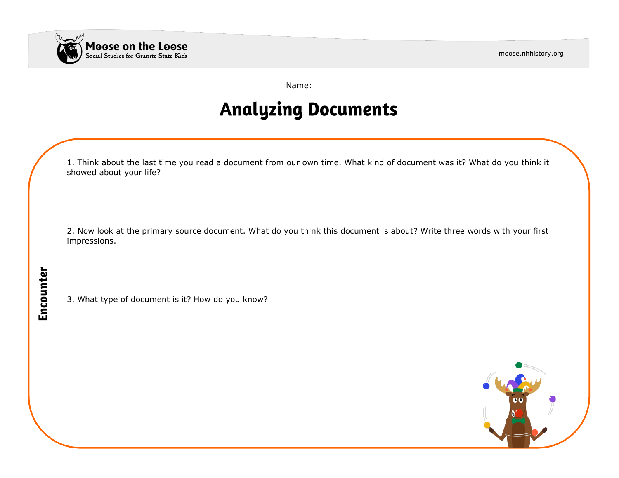

moose.nhhistory.org

Name: \_\_\_\_\_\_\_\_\_\_\_\_\_\_\_\_\_\_\_\_\_\_\_\_\_\_\_\_\_\_\_\_\_\_\_\_\_\_\_\_\_\_\_\_\_\_\_\_\_\_\_\_\_\_\_

## **Analyzing Documents**

1. Think about the last time you read a document from our own time. What kind of document was it? What do you think it showed about your life?

2. Now look at the primary source document. What do you think this document is about? Write three words with your first impressions.

3. What type of document is it? How do you know?

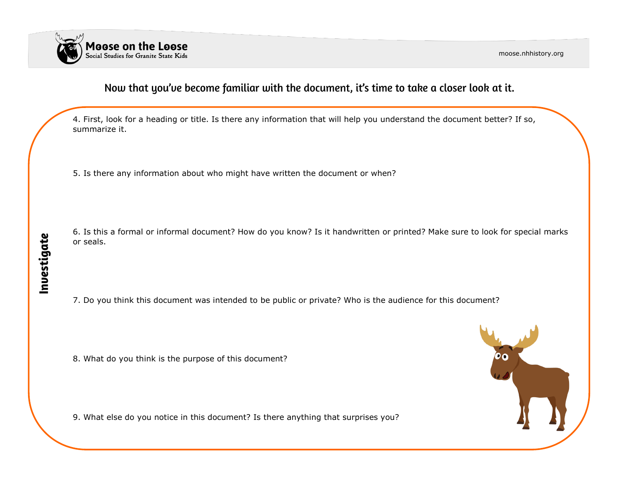

moose.nhhistory.org

#### Now that you've become familiar with the document, it's time to take a closer look at it.

4. First, look for a heading or title. Is there any information that will help you understand the document better? If so, summarize it.

5. Is there any information about who might have written the document or when?

6. Is this a formal or informal document? How do you know? Is it handwritten or printed? Make sure to look for special marks or seals.

7. Do you think this document was intended to be public or private? Who is the audience for this document?

8. What do you think is the purpose of this document?

9. What else do you notice in this document? Is there anything that surprises you?